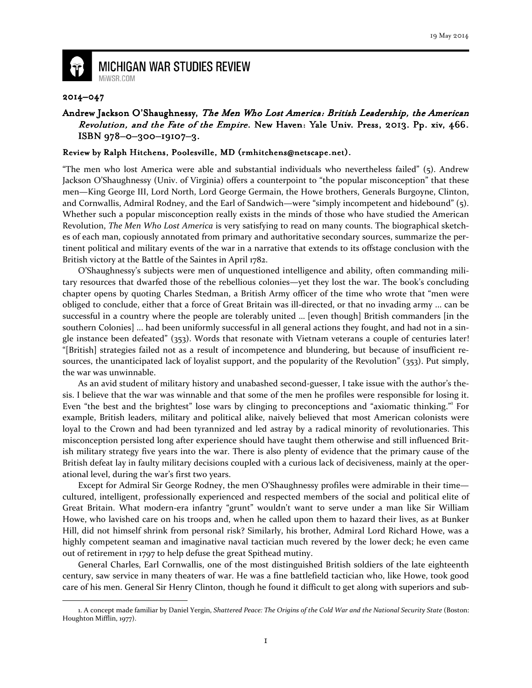

## **MICHIGAN WAR STUDIES REVIEW** MiWSR.COM

## 2014–047

 $\overline{\phantom{0}}$ 

## Andrew Jackson O'Shaughnessy, The Men Who Lost America: British Leadership, the American Revolution, and the Fate of the Empire. New Haven: Yale Univ. Press, 2013. Pp. xiv, 466. ISBN 978-0-300-19107-3.

## Review by Ralph Hitchens, Poolesville, MD (rmhitchens@netscape.net).

"The men who lost America were able and substantial individuals who nevertheless failed" (5). Andrew Jackson O'Shaughnessy (Univ. of Virginia) offers a counterpoint to "the popular misconception" that these men—King George III, Lord North, Lord George Germain, the Howe brothers, Generals Burgoyne, Clinton, and Cornwallis, Admiral Rodney, and the Earl of Sandwich—were "simply incompetent and hidebound" (5). Whether such a popular misconception really exists in the minds of those who have studied the American Revolution, The Men Who Lost America is very satisfying to read on many counts. The biographical sketches of each man, copiously annotated from primary and authoritative secondary sources, summarize the pertinent political and military events of the war in a narrative that extends to its offstage conclusion with the British victory at the Battle of the Saintes in April 1782.

 O'Shaughnessy's subjects were men of unquestioned intelligence and ability, often commanding military resources that dwarfed those of the rebellious colonies—yet they lost the war. The book's concluding chapter opens by quoting Charles Stedman, a British Army officer of the time who wrote that "men were obliged to conclude, either that a force of Great Britain was ill-directed, or that no invading army ... can be successful in a country where the people are tolerably united … [even though] British commanders [in the southern Colonies] ... had been uniformly successful in all general actions they fought, and had not in a single instance been defeated" (353). Words that resonate with Vietnam veterans a couple of centuries later! "[British] strategies failed not as a result of incompetence and blundering, but because of insufficient resources, the unanticipated lack of loyalist support, and the popularity of the Revolution" (353). Put simply, the war was unwinnable.

 As an avid student of military history and unabashed second-guesser, I take issue with the author's thesis. I believe that the war was winnable and that some of the men he profiles were responsible for losing it. Even "the best and the brightest" lose wars by clinging to preconceptions and "axiomatic thinking." For example, British leaders, military and political alike, naively believed that most American colonists were loyal to the Crown and had been tyrannized and led astray by a radical minority of revolutionaries. This misconception persisted long after experience should have taught them otherwise and still influenced British military strategy five years into the war. There is also plenty of evidence that the primary cause of the British defeat lay in faulty military decisions coupled with a curious lack of decisiveness, mainly at the operational level, during the war's first two years.

 Except for Admiral Sir George Rodney, the men O'Shaughnessy profiles were admirable in their time cultured, intelligent, professionally experienced and respected members of the social and political elite of Great Britain. What modern-era infantry "grunt" wouldn't want to serve under a man like Sir William Howe, who lavished care on his troops and, when he called upon them to hazard their lives, as at Bunker Hill, did not himself shrink from personal risk? Similarly, his brother, Admiral Lord Richard Howe, was a highly competent seaman and imaginative naval tactician much revered by the lower deck; he even came out of retirement in 1797 to help defuse the great Spithead mutiny.

General Charles, Earl Cornwallis, one of the most distinguished British soldiers of the late eighteenth century, saw service in many theaters of war. He was a fine battlefield tactician who, like Howe, took good care of his men. General Sir Henry Clinton, though he found it difficult to get along with superiors and sub-

<sup>1.</sup> A concept made familiar by Daniel Yergin, Shattered Peace: The Origins of the Cold War and the National Security State (Boston: Houghton Mifflin, 1977).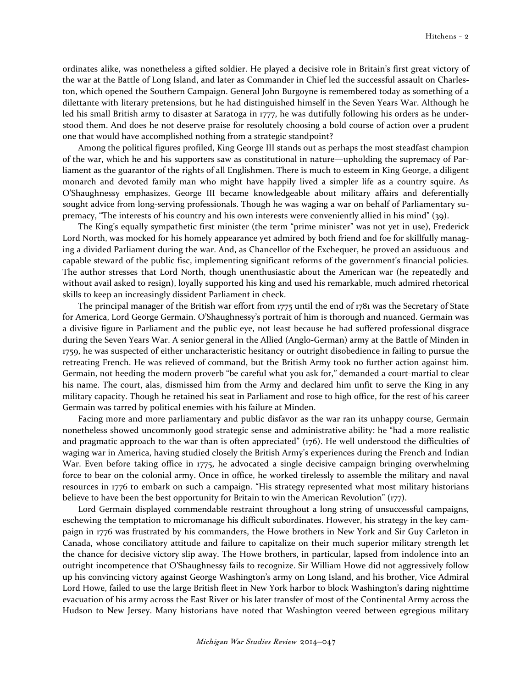ordinates alike, was nonetheless a gifted soldier. He played a decisive role in Britain's first great victory of the war at the Battle of Long Island, and later as Commander in Chief led the successful assault on Charleston, which opened the Southern Campaign. General John Burgoyne is remembered today as something of a dilettante with literary pretensions, but he had distinguished himself in the Seven Years War. Although he led his small British army to disaster at Saratoga in 1777, he was dutifully following his orders as he understood them. And does he not deserve praise for resolutely choosing a bold course of action over a prudent one that would have accomplished nothing from a strategic standpoint?

 Among the political figures profiled, King George III stands out as perhaps the most steadfast champion of the war, which he and his supporters saw as constitutional in nature—upholding the supremacy of Parliament as the guarantor of the rights of all Englishmen. There is much to esteem in King George, a diligent monarch and devoted family man who might have happily lived a simpler life as a country squire. As O'Shaughnessy emphasizes, George III became knowledgeable about military affairs and deferentially sought advice from long-serving professionals. Though he was waging a war on behalf of Parliamentary supremacy, "The interests of his country and his own interests were conveniently allied in his mind" (39).

The King's equally sympathetic first minister (the term "prime minister" was not yet in use), Frederick Lord North, was mocked for his homely appearance yet admired by both friend and foe for skillfully managing a divided Parliament during the war. And, as Chancellor of the Exchequer, he proved an assiduous and capable steward of the public fisc, implementing significant reforms of the government's financial policies. The author stresses that Lord North, though unenthusiastic about the American war (he repeatedly and without avail asked to resign), loyally supported his king and used his remarkable, much admired rhetorical skills to keep an increasingly dissident Parliament in check.

The principal manager of the British war effort from 1775 until the end of 1781 was the Secretary of State for America, Lord George Germain. O'Shaughnessy's portrait of him is thorough and nuanced. Germain was a divisive figure in Parliament and the public eye, not least because he had suffered professional disgrace during the Seven Years War. A senior general in the Allied (Anglo-German) army at the Battle of Minden in 1759, he was suspected of either uncharacteristic hesitancy or outright disobedience in failing to pursue the retreating French. He was relieved of command, but the British Army took no further action against him. Germain, not heeding the modern proverb "be careful what you ask for," demanded a court-martial to clear his name. The court, alas, dismissed him from the Army and declared him unfit to serve the King in any military capacity. Though he retained his seat in Parliament and rose to high office, for the rest of his career Germain was tarred by political enemies with his failure at Minden.

Facing more and more parliamentary and public disfavor as the war ran its unhappy course, Germain nonetheless showed uncommonly good strategic sense and administrative ability: he "had a more realistic and pragmatic approach to the war than is often appreciated" (176). He well understood the difficulties of waging war in America, having studied closely the British Army's experiences during the French and Indian War. Even before taking office in 1775, he advocated a single decisive campaign bringing overwhelming force to bear on the colonial army. Once in office, he worked tirelessly to assemble the military and naval resources in 1776 to embark on such a campaign. "His strategy represented what most military historians believe to have been the best opportunity for Britain to win the American Revolution" (177).

 Lord Germain displayed commendable restraint throughout a long string of unsuccessful campaigns, eschewing the temptation to micromanage his difficult subordinates. However, his strategy in the key campaign in 1776 was frustrated by his commanders, the Howe brothers in New York and Sir Guy Carleton in Canada, whose conciliatory attitude and failure to capitalize on their much superior military strength let the chance for decisive victory slip away. The Howe brothers, in particular, lapsed from indolence into an outright incompetence that O'Shaughnessy fails to recognize. Sir William Howe did not aggressively follow up his convincing victory against George Washington's army on Long Island, and his brother, Vice Admiral Lord Howe, failed to use the large British fleet in New York harbor to block Washington's daring nighttime evacuation of his army across the East River or his later transfer of most of the Continental Army across the Hudson to New Jersey. Many historians have noted that Washington veered between egregious military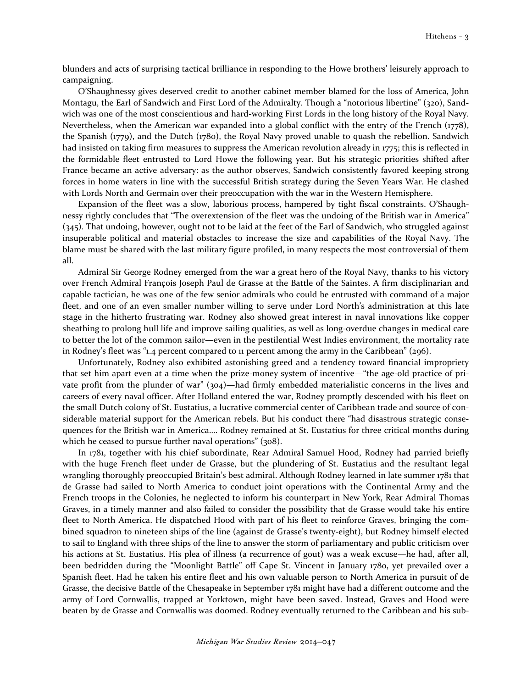blunders and acts of surprising tactical brilliance in responding to the Howe brothers' leisurely approach to campaigning.

 O'Shaughnessy gives deserved credit to another cabinet member blamed for the loss of America, John Montagu, the Earl of Sandwich and First Lord of the Admiralty. Though a "notorious libertine" (320), Sandwich was one of the most conscientious and hard-working First Lords in the long history of the Royal Navy. Nevertheless, when the American war expanded into a global conflict with the entry of the French (1778), the Spanish (1779), and the Dutch (1780), the Royal Navy proved unable to quash the rebellion. Sandwich had insisted on taking firm measures to suppress the American revolution already in 1775; this is reflected in the formidable fleet entrusted to Lord Howe the following year. But his strategic priorities shifted after France became an active adversary: as the author observes, Sandwich consistently favored keeping strong forces in home waters in line with the successful British strategy during the Seven Years War. He clashed with Lords North and Germain over their preoccupation with the war in the Western Hemisphere.

Expansion of the fleet was a slow, laborious process, hampered by tight fiscal constraints. O'Shaughnessy rightly concludes that "The overextension of the fleet was the undoing of the British war in America" (345). That undoing, however, ought not to be laid at the feet of the Earl of Sandwich, who struggled against insuperable political and material obstacles to increase the size and capabilities of the Royal Navy. The blame must be shared with the last military figure profiled, in many respects the most controversial of them all.

 Admiral Sir George Rodney emerged from the war a great hero of the Royal Navy, thanks to his victory over French Admiral François Joseph Paul de Grasse at the Battle of the Saintes. A firm disciplinarian and capable tactician, he was one of the few senior admirals who could be entrusted with command of a major fleet, and one of an even smaller number willing to serve under Lord North's administration at this late stage in the hitherto frustrating war. Rodney also showed great interest in naval innovations like copper sheathing to prolong hull life and improve sailing qualities, as well as long-overdue changes in medical care to better the lot of the common sailor—even in the pestilential West Indies environment, the mortality rate in Rodney's fleet was "1.4 percent compared to 11 percent among the army in the Caribbean" (296).

 Unfortunately, Rodney also exhibited astonishing greed and a tendency toward financial impropriety that set him apart even at a time when the prize-money system of incentive—"the age-old practice of private profit from the plunder of war" (304)—had firmly embedded materialistic concerns in the lives and careers of every naval officer. After Holland entered the war, Rodney promptly descended with his fleet on the small Dutch colony of St. Eustatius, a lucrative commercial center of Caribbean trade and source of considerable material support for the American rebels. But his conduct there "had disastrous strategic consequences for the British war in America…. Rodney remained at St. Eustatius for three critical months during which he ceased to pursue further naval operations" (308).

In 1781, together with his chief subordinate, Rear Admiral Samuel Hood, Rodney had parried briefly with the huge French fleet under de Grasse, but the plundering of St. Eustatius and the resultant legal wrangling thoroughly preoccupied Britain's best admiral. Although Rodney learned in late summer 1781 that de Grasse had sailed to North America to conduct joint operations with the Continental Army and the French troops in the Colonies, he neglected to inform his counterpart in New York, Rear Admiral Thomas Graves, in a timely manner and also failed to consider the possibility that de Grasse would take his entire fleet to North America. He dispatched Hood with part of his fleet to reinforce Graves, bringing the combined squadron to nineteen ships of the line (against de Grasse's twenty-eight), but Rodney himself elected to sail to England with three ships of the line to answer the storm of parliamentary and public criticism over his actions at St. Eustatius. His plea of illness (a recurrence of gout) was a weak excuse—he had, after all, been bedridden during the "Moonlight Battle" off Cape St. Vincent in January 1780, yet prevailed over a Spanish fleet. Had he taken his entire fleet and his own valuable person to North America in pursuit of de Grasse, the decisive Battle of the Chesapeake in September 1781 might have had a different outcome and the army of Lord Cornwallis, trapped at Yorktown, might have been saved. Instead, Graves and Hood were beaten by de Grasse and Cornwallis was doomed. Rodney eventually returned to the Caribbean and his sub